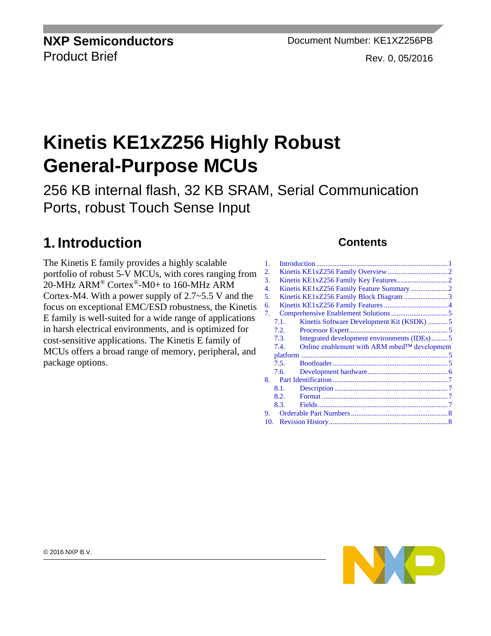#### **NXP Semiconductors** Document Number: KE1XZ256PB Product Brief **Rev. 0, 05/2016** Rev. 0, 05/2016

# **Kinetis KE1xZ256 Highly Robust General-Purpose MCUs**

256 KB internal flash, 32 KB SRAM, Serial Communication Ports, robust Touch Sense Input

## <span id="page-0-0"></span>**1. Introduction**

The Kinetis E family provides a highly scalable portfolio of robust 5-V MCUs, with cores ranging from 20-MHz ARM® Cortex®-M0+ to 160-MHz ARM Cortex-M4. With a power supply of 2.7~5.5 V and the focus on exceptional EMC/ESD robustness, the Kinetis E family is well-suited for a wide range of applications in harsh electrical environments, and is optimized for cost-sensitive applications. The Kinetis E family of MCUs offers a broad range of memory, peripheral, and package options.

#### **Contents**

| 1.  |                                           |                                                  |  |  |  |  |  |
|-----|-------------------------------------------|--------------------------------------------------|--|--|--|--|--|
| 2.  |                                           |                                                  |  |  |  |  |  |
| 3.  |                                           |                                                  |  |  |  |  |  |
| 4.  | Kinetis KE1xZ256 Family Feature Summary 2 |                                                  |  |  |  |  |  |
| 5.  |                                           |                                                  |  |  |  |  |  |
| 6.  |                                           |                                                  |  |  |  |  |  |
| 7.  |                                           |                                                  |  |  |  |  |  |
|     | 7.1.                                      | Kinetis Software Development Kit (KSDK)5         |  |  |  |  |  |
|     | 7.2.                                      |                                                  |  |  |  |  |  |
|     | 7.3.                                      | Integrated development environments (IDEs)5      |  |  |  |  |  |
|     | 7.4.                                      | Online enablement with ARM mbed $TM$ development |  |  |  |  |  |
|     |                                           |                                                  |  |  |  |  |  |
|     | 7.5.                                      |                                                  |  |  |  |  |  |
|     | 7.6.                                      |                                                  |  |  |  |  |  |
| 8.  |                                           |                                                  |  |  |  |  |  |
|     | 8.1.                                      |                                                  |  |  |  |  |  |
|     | 8.2.                                      |                                                  |  |  |  |  |  |
|     | 8.3.                                      |                                                  |  |  |  |  |  |
| 9.  |                                           |                                                  |  |  |  |  |  |
| 10. |                                           |                                                  |  |  |  |  |  |
|     |                                           |                                                  |  |  |  |  |  |

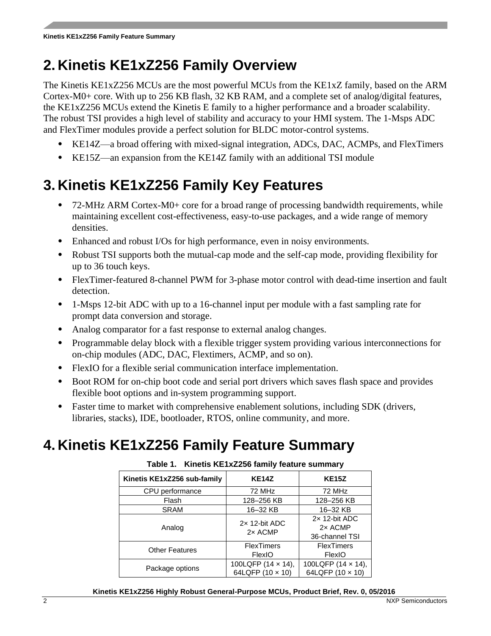## <span id="page-1-0"></span>**2. Kinetis KE1xZ256 Family Overview**

The Kinetis KE1xZ256 MCUs are the most powerful MCUs from the KE1xZ family, based on the ARM Cortex-M0+ core. With up to 256 KB flash, 32 KB RAM, and a complete set of analog/digital features, the KE1xZ256 MCUs extend the Kinetis E family to a higher performance and a broader scalability. The robust TSI provides a high level of stability and accuracy to your HMI system. The 1-Msps ADC and FlexTimer modules provide a perfect solution for BLDC motor-control systems.

- KE14Z—a broad offering with mixed-signal integration, ADCs, DAC, ACMPs, and FlexTimers
- KE15Z—an expansion from the KE14Z family with an additional TSI module

## <span id="page-1-1"></span>**3. Kinetis KE1xZ256 Family Key Features**

- 72-MHz ARM Cortex-M0+ core for a broad range of processing bandwidth requirements, while maintaining excellent cost-effectiveness, easy-to-use packages, and a wide range of memory densities.
- Enhanced and robust I/Os for high performance, even in noisy environments.
- Robust TSI supports both the mutual-cap mode and the self-cap mode, providing flexibility for up to 36 touch keys.
- FlexTimer-featured 8-channel PWM for 3-phase motor control with dead-time insertion and fault detection.
- 1-Msps 12-bit ADC with up to a 16-channel input per module with a fast sampling rate for prompt data conversion and storage.
- Analog comparator for a fast response to external analog changes.
- Programmable delay block with a flexible trigger system providing various interconnections for on-chip modules (ADC, DAC, Flextimers, ACMP, and so on).
- FlexIO for a flexible serial communication interface implementation.
- Boot ROM for on-chip boot code and serial port drivers which saves flash space and provides flexible boot options and in-system programming support.
- Faster time to market with comprehensive enablement solutions, including SDK (drivers, libraries, stacks), IDE, bootloader, RTOS, online community, and more.

## <span id="page-1-2"></span>**4. Kinetis KE1xZ256 Family Feature Summary**

| Kinetis KE1xZ256 sub-family | <b>KE14Z</b>                           | <b>KE15Z</b>                                 |  |
|-----------------------------|----------------------------------------|----------------------------------------------|--|
| CPU performance             | 72 MHz                                 | 72 MHz                                       |  |
| Flash                       | 128-256 KB                             | 128-256 KB                                   |  |
| <b>SRAM</b>                 | 16-32 KB                               | 16-32 KB                                     |  |
| Analog                      | $2x$ 12-bit ADC<br>2x ACMP             | $2x$ 12-bit ADC<br>2x ACMP<br>36-channel TSI |  |
| <b>Other Features</b>       | <b>FlexTimers</b><br><b>FlexIO</b>     | <b>FlexTimers</b><br>FlexIO                  |  |
| Package options             | 100LQFP (14 x 14),<br>64LQFP (10 x 10) | 100LQFP (14 x 14),<br>64LQFP (10 x 10)       |  |

#### **Table 1. Kinetis KE1xZ256 family feature summary**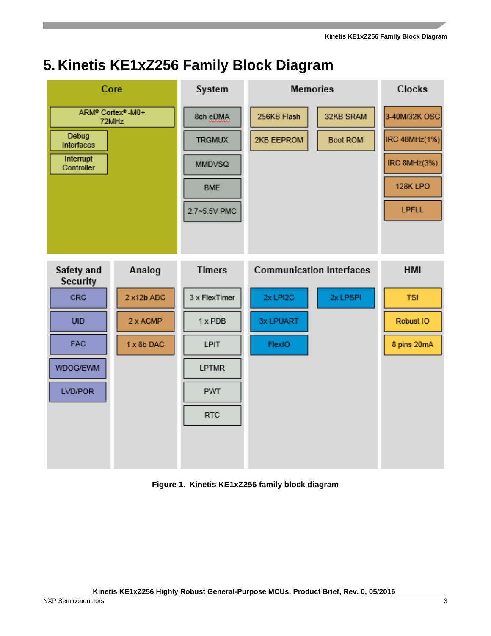## <span id="page-2-0"></span>**5. Kinetis KE1xZ256 Family Block Diagram**



**Figure 1. Kinetis KE1xZ256 family block diagram**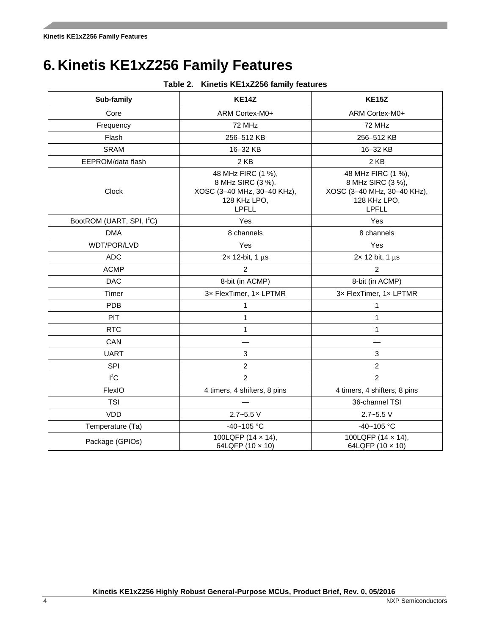## <span id="page-3-0"></span>**6. Kinetis KE1xZ256 Family Features**

#### **Table 2. Kinetis KE1xZ256 family features**

| Sub-family                            | <b>KE14Z</b>                                                                                           | <b>KE15Z</b>                                                                                           |  |  |
|---------------------------------------|--------------------------------------------------------------------------------------------------------|--------------------------------------------------------------------------------------------------------|--|--|
| Core                                  | ARM Cortex-M0+                                                                                         | ARM Cortex-M0+                                                                                         |  |  |
| Frequency                             | 72 MHz                                                                                                 | 72 MHz                                                                                                 |  |  |
| Flash                                 | 256-512 KB                                                                                             | 256-512 KB                                                                                             |  |  |
| <b>SRAM</b>                           | 16-32 KB                                                                                               | 16-32 KB                                                                                               |  |  |
| EEPROM/data flash                     | 2 KB                                                                                                   | 2 KB                                                                                                   |  |  |
| Clock                                 | 48 MHz FIRC (1 %),<br>8 MHz SIRC (3 %),<br>XOSC (3-40 MHz, 30-40 KHz),<br>128 KHz LPO,<br><b>LPFLL</b> | 48 MHz FIRC (1 %),<br>8 MHz SIRC (3 %),<br>XOSC (3-40 MHz, 30-40 KHz),<br>128 KHz LPO,<br><b>LPFLL</b> |  |  |
| BootROM (UART, SPI, I <sup>2</sup> C) | Yes                                                                                                    | Yes                                                                                                    |  |  |
| <b>DMA</b>                            | 8 channels                                                                                             | 8 channels                                                                                             |  |  |
| WDT/POR/LVD                           | Yes                                                                                                    | Yes                                                                                                    |  |  |
| <b>ADC</b>                            | $2x$ 12-bit, 1 $\mu s$                                                                                 | $2x$ 12 bit, 1 $\mu s$                                                                                 |  |  |
| <b>ACMP</b>                           | $\overline{2}$                                                                                         | $\overline{2}$                                                                                         |  |  |
| <b>DAC</b>                            | 8-bit (in ACMP)                                                                                        | 8-bit (in ACMP)                                                                                        |  |  |
| Timer                                 | 3x FlexTimer, 1x LPTMR                                                                                 | 3x FlexTimer, 1x LPTMR                                                                                 |  |  |
| <b>PDB</b>                            | 1                                                                                                      | $\mathbf{1}$                                                                                           |  |  |
| PIT                                   | $\mathbf{1}$                                                                                           | $\mathbf{1}$                                                                                           |  |  |
| <b>RTC</b>                            | $\mathbf{1}$                                                                                           | $\mathbf{1}$                                                                                           |  |  |
| CAN                                   |                                                                                                        |                                                                                                        |  |  |
| <b>UART</b>                           | 3                                                                                                      | $\sqrt{3}$                                                                                             |  |  |
| SPI                                   | $\overline{2}$                                                                                         | $\overline{c}$                                                                                         |  |  |
| $I^2C$                                | $\overline{2}$                                                                                         | $\overline{2}$                                                                                         |  |  |
| FlexIO                                | 4 timers, 4 shifters, 8 pins                                                                           | 4 timers, 4 shifters, 8 pins                                                                           |  |  |
| <b>TSI</b>                            |                                                                                                        | 36-channel TSI                                                                                         |  |  |
| <b>VDD</b>                            | $2.7 - 5.5$ V                                                                                          | $2.7 - 5.5$ V                                                                                          |  |  |
| Temperature (Ta)                      | $-40 - 105$ °C                                                                                         | $-40 - 105$ °C                                                                                         |  |  |
| Package (GPIOs)                       | 100LQFP (14 x 14),<br>64LQFP (10 x 10)                                                                 | 100LQFP (14 x 14),<br>64LQFP (10 x 10)                                                                 |  |  |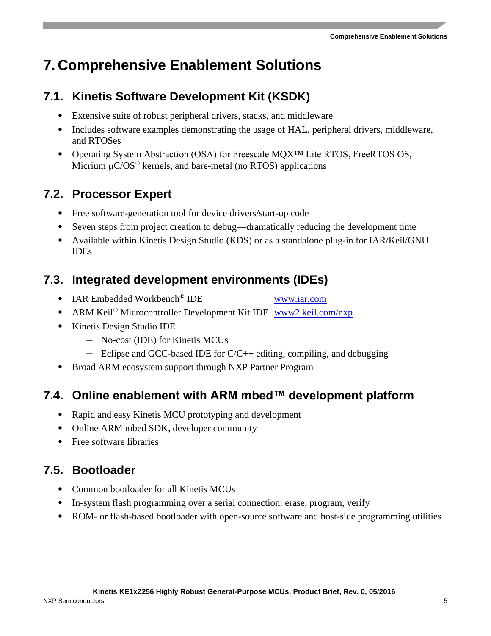## <span id="page-4-0"></span>**7. Comprehensive Enablement Solutions**

### <span id="page-4-1"></span>**7.1. Kinetis Software Development Kit (KSDK)**

- Extensive suite of robust peripheral drivers, stacks, and middleware
- Includes software examples demonstrating the usage of HAL, peripheral drivers, middleware, and RTOSes
- Operating System Abstraction (OSA) for Freescale MQX™ Lite RTOS, FreeRTOS OS, Micrium  $\mu$ C/OS<sup>®</sup> kernels, and bare-metal (no RTOS) applications

### <span id="page-4-2"></span>**7.2. Processor Expert**

- Free software-generation tool for device drivers/start-up code
- Seven steps from project creation to debug—dramatically reducing the development time
- Available within Kinetis Design Studio (KDS) or as a standalone plug-in for IAR/Keil/GNU IDEs

### <span id="page-4-3"></span>**7.3. Integrated development environments (IDEs)**

- IAR Embedded Workbench<sup>®</sup> IDE [www.iar.com](https://www.iar.com/)
- ARM Keil<sup>®</sup> Microcontroller Development Kit IDE [www2.keil.com/nxp](http://www2.keil.com/nxp)
- Kinetis Design Studio IDE
	- **—** No-cost (IDE) for Kinetis MCUs
	- **—** Eclipse and GCC-based IDE for C/C++ editing, compiling, and debugging
- Broad ARM ecosystem support through NXP Partner Program

#### <span id="page-4-4"></span>**7.4. Online enablement with ARM mbed™ development platform**

- Rapid and easy Kinetis MCU prototyping and development
- Online ARM mbed SDK, developer community
- Free software libraries

### <span id="page-4-5"></span>**7.5. Bootloader**

- Common bootloader for all Kinetis MCUs
- In-system flash programming over a serial connection: erase, program, verify
- ROM- or flash-based bootloader with open-source software and host-side programming utilities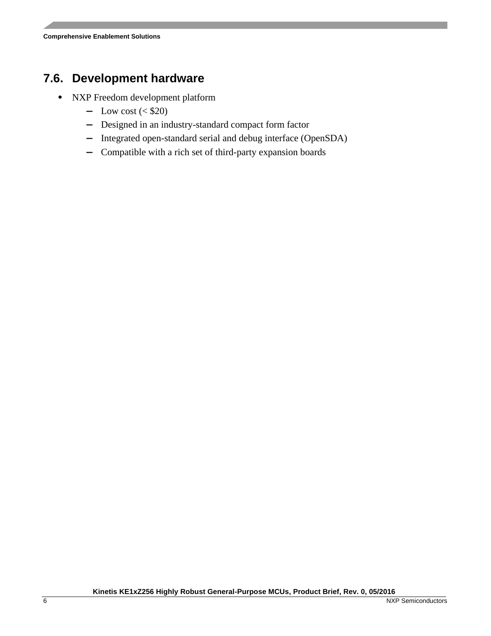#### <span id="page-5-0"></span>**7.6. Development hardware**

- NXP Freedom development platform
	- **—** Low cost (< \$20)
	- **—** Designed in an industry-standard compact form factor
	- **—** Integrated open-standard serial and debug interface (OpenSDA)
	- **—** Compatible with a rich set of third-party expansion boards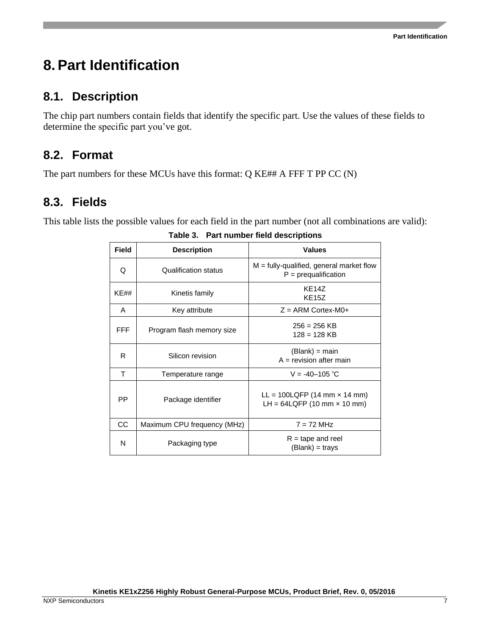## <span id="page-6-0"></span>**8.Part Identification**

#### <span id="page-6-1"></span>**8.1. Description**

The chip part numbers contain fields that identify the specific part. Use the values of these fields to determine the specific part you've got.

#### <span id="page-6-2"></span>**8.2. Format**

The part numbers for these MCUs have this format: Q KE## A FFF T PP CC (N)

#### <span id="page-6-3"></span>**8.3. Fields**

This table lists the possible values for each field in the part number (not all combinations are valid):

| Field      | <b>Description</b>          | <b>Values</b>                                                        |
|------------|-----------------------------|----------------------------------------------------------------------|
| Q          | Qualification status        | $M =$ fully-qualified, general market flow<br>$P = prequalification$ |
| KE##       | Kinetis family              | <b>KF147</b><br><b>KE15Z</b>                                         |
| A          | Key attribute               | $Z = ARM$ Cortex-M0+                                                 |
| <b>FFF</b> | Program flash memory size   | $256 = 256$ KB<br>$128 = 128$ KB                                     |
| R          | Silicon revision            | $(Blank) = main$<br>$A =$ revision after main                        |
| т          | Temperature range           | $V = -40-105 °C$                                                     |
| PP         | Package identifier          | $LL = 100LQFP (14 mm × 14 mm)$<br>LH = $64LQFP (10 mm \times 10 mm)$ |
| CC         | Maximum CPU frequency (MHz) | $7 = 72$ MHz                                                         |
| N          | Packaging type              | $R =$ tape and reel<br>(Blank) = trays                               |

**Table 3. Part number field descriptions**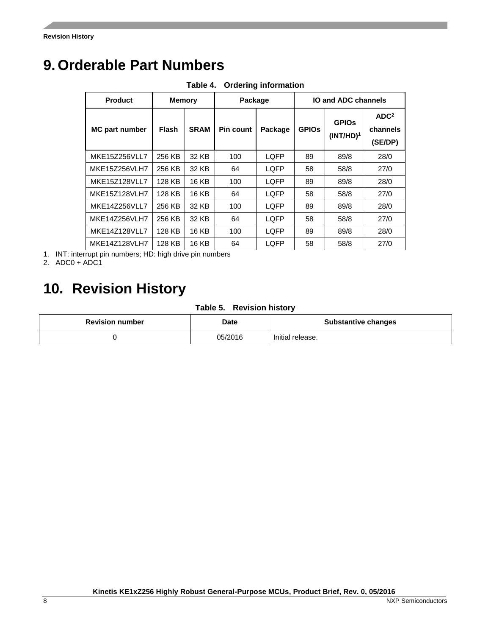## <span id="page-7-0"></span>**9. Orderable Part Numbers**

| <b>Product</b>        | <b>Memory</b> |              | Package          |         | <b>IO and ADC channels</b> |                              |                                         |
|-----------------------|---------------|--------------|------------------|---------|----------------------------|------------------------------|-----------------------------------------|
| <b>MC part number</b> | Flash         | <b>SRAM</b>  | <b>Pin count</b> | Package | <b>GPIOS</b>               | <b>GPIOS</b><br>$(INT/HD)^1$ | ADC <sup>2</sup><br>channels<br>(SE/DP) |
| MKE15Z256VLL7         | 256 KB        | 32 KB        | 100              | LQFP    | 89                         | 89/8                         | 28/0                                    |
| MKE15Z256VLH7         | 256 KB        | 32 KB        | 64               | LQFP    | 58                         | 58/8                         | 27/0                                    |
| <b>MKE15Z128VLL7</b>  | 128 KB        | 16 KB        | 100              | LQFP    | 89                         | 89/8                         | 28/0                                    |
| <b>MKE15Z128VLH7</b>  | 128 KB        | 16 KB        | 64               | LQFP    | 58                         | 58/8                         | 27/0                                    |
| MKE14Z256VLL7         | 256 KB        | 32 KB        | 100              | LQFP    | 89                         | 89/8                         | 28/0                                    |
| MKE14Z256VLH7         | 256 KB        | 32 KB        | 64               | LQFP    | 58                         | 58/8                         | 27/0                                    |
| MKE14Z128VLL7         | 128 KB        | 16 KB        | 100              | LQFP    | 89                         | 89/8                         | 28/0                                    |
| MKE14Z128VLH7         | 128 KB        | <b>16 KB</b> | 64               | LQFP    | 58                         | 58/8                         | 27/0                                    |

**Table 4. Ordering information**

1. INT: interrupt pin numbers; HD: high drive pin numbers

<span id="page-7-1"></span>2. ADC0 + ADC1

## **10. Revision History**

#### **Table 5. Revision history**

| <b>Revision number</b> | Date    | <b>Substantive changes</b> |
|------------------------|---------|----------------------------|
|                        | 05/2016 | Initial release.           |